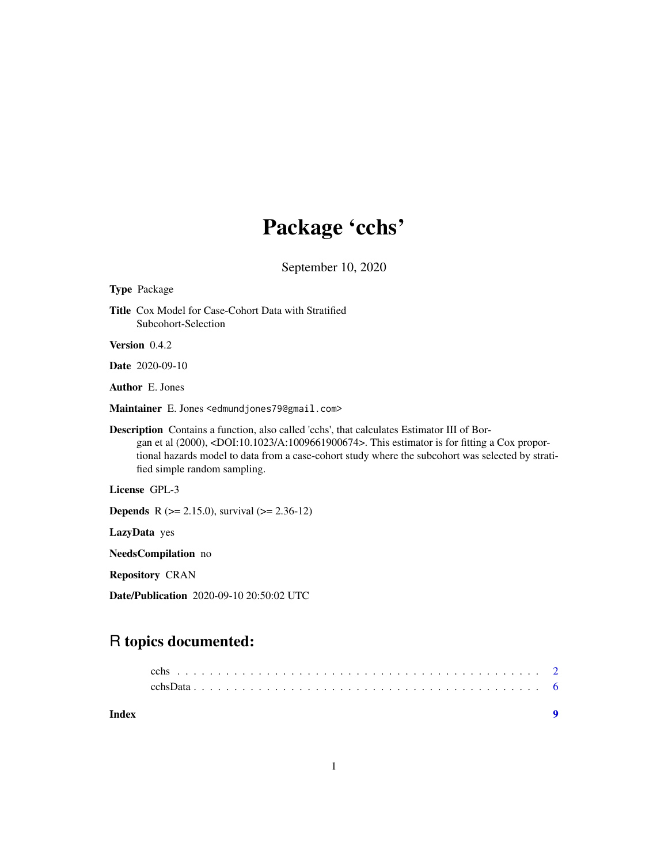## Package 'cchs'

September 10, 2020

<span id="page-0-0"></span>

Date/Publication 2020-09-10 20:50:02 UTC

### R topics documented:

| Index |  |  |  |  |  |  |  |  |  |  |  |  |  |  |  |  |  |  |  |
|-------|--|--|--|--|--|--|--|--|--|--|--|--|--|--|--|--|--|--|--|
|       |  |  |  |  |  |  |  |  |  |  |  |  |  |  |  |  |  |  |  |
|       |  |  |  |  |  |  |  |  |  |  |  |  |  |  |  |  |  |  |  |
|       |  |  |  |  |  |  |  |  |  |  |  |  |  |  |  |  |  |  |  |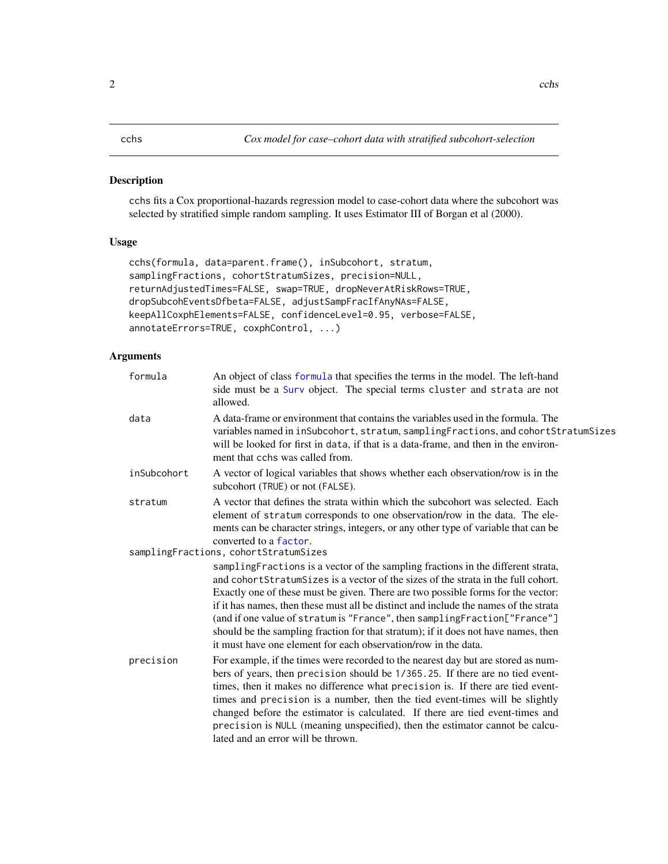#### <span id="page-1-1"></span><span id="page-1-0"></span>Description

cchs fits a Cox proportional-hazards regression model to case-cohort data where the subcohort was selected by stratified simple random sampling. It uses Estimator III of Borgan et al (2000).

#### Usage

```
cchs(formula, data=parent.frame(), inSubcohort, stratum,
samplingFractions, cohortStratumSizes, precision=NULL,
returnAdjustedTimes=FALSE, swap=TRUE, dropNeverAtRiskRows=TRUE,
dropSubcohEventsDfbeta=FALSE, adjustSampFracIfAnyNAs=FALSE,
keepAllCoxphElements=FALSE, confidenceLevel=0.95, verbose=FALSE,
annotateErrors=TRUE, coxphControl, ...)
```
### Arguments

| formula     | An object of class formula that specifies the terms in the model. The left-hand<br>side must be a Surv object. The special terms cluster and strata are not<br>allowed.                                                                                                                                                                                                                                                                                                                                                                                                                  |
|-------------|------------------------------------------------------------------------------------------------------------------------------------------------------------------------------------------------------------------------------------------------------------------------------------------------------------------------------------------------------------------------------------------------------------------------------------------------------------------------------------------------------------------------------------------------------------------------------------------|
| data        | A data-frame or environment that contains the variables used in the formula. The<br>variables named in inSubcohort, stratum, samplingFractions, and cohortStratumSizes<br>will be looked for first in data, if that is a data-frame, and then in the environ-<br>ment that cchs was called from.                                                                                                                                                                                                                                                                                         |
| inSubcohort | A vector of logical variables that shows whether each observation/row is in the<br>subcohort (TRUE) or not (FALSE).                                                                                                                                                                                                                                                                                                                                                                                                                                                                      |
| stratum     | A vector that defines the strata within which the subcohort was selected. Each<br>element of stratum corresponds to one observation/row in the data. The ele-<br>ments can be character strings, integers, or any other type of variable that can be<br>converted to a factor.                                                                                                                                                                                                                                                                                                           |
|             | samplingFractions, cohortStratumSizes                                                                                                                                                                                                                                                                                                                                                                                                                                                                                                                                                    |
|             | samplingFractions is a vector of the sampling fractions in the different strata,<br>and cohort Stratum Sizes is a vector of the sizes of the strata in the full cohort.<br>Exactly one of these must be given. There are two possible forms for the vector:<br>if it has names, then these must all be distinct and include the names of the strata<br>(and if one value of stratum is "France", then samplingFraction["France"]<br>should be the sampling fraction for that stratum); if it does not have names, then<br>it must have one element for each observation/row in the data. |
| precision   | For example, if the times were recorded to the nearest day but are stored as num-<br>bers of years, then precision should be 1/365.25. If there are no tied event-<br>times, then it makes no difference what precision is. If there are tied event-<br>times and precision is a number, then the tied event-times will be slightly<br>changed before the estimator is calculated. If there are tied event-times and<br>precision is NULL (meaning unspecified), then the estimator cannot be calcu-<br>lated and an error will be thrown.                                               |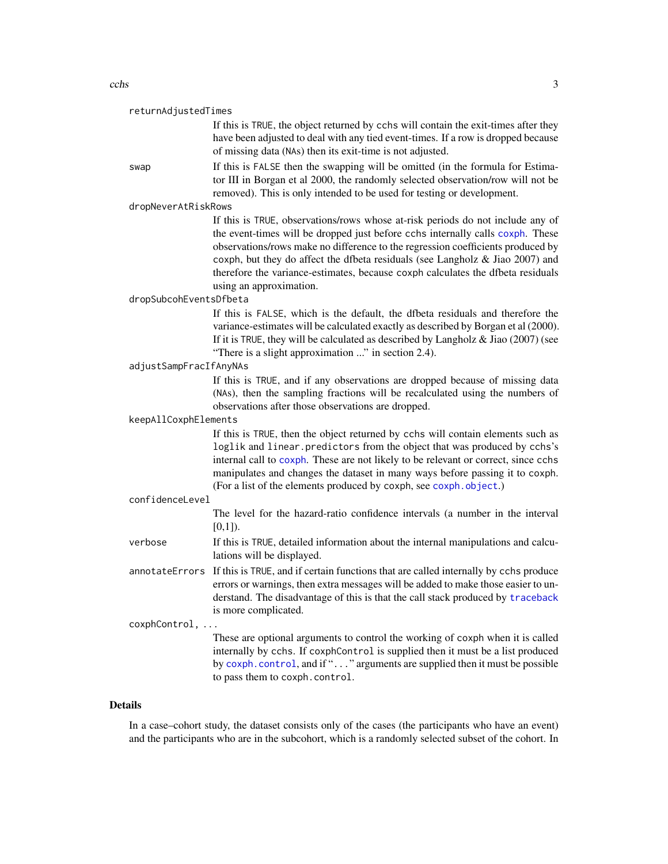<span id="page-2-0"></span>

If this is TRUE, the object returned by cchs will contain the exit-times after they have been adjusted to deal with any tied event-times. If a row is dropped because of missing data (NAs) then its exit-time is not adjusted.

swap If this is FALSE then the swapping will be omitted (in the formula for Estimator III in Borgan et al 2000, the randomly selected observation/row will not be removed). This is only intended to be used for testing or development.

dropNeverAtRiskRows

If this is TRUE, observations/rows whose at-risk periods do not include any of the event-times will be dropped just before cchs internally calls [coxph](#page-0-0). These observations/rows make no difference to the regression coefficients produced by coxph, but they do affect the dfbeta residuals (see Langholz & Jiao 2007) and therefore the variance-estimates, because coxph calculates the dfbeta residuals using an approximation.

dropSubcohEventsDfbeta

If this is FALSE, which is the default, the dfbeta residuals and therefore the variance-estimates will be calculated exactly as described by Borgan et al (2000). If it is TRUE, they will be calculated as described by Langholz  $\&$  Jiao (2007) (see "There is a slight approximation ..." in section 2.4).

#### adjustSampFracIfAnyNAs

If this is TRUE, and if any observations are dropped because of missing data (NAs), then the sampling fractions will be recalculated using the numbers of observations after those observations are dropped.

#### keepAllCoxphElements

If this is TRUE, then the object returned by cchs will contain elements such as loglik and linear.predictors from the object that was produced by cchs's internal call to [coxph](#page-0-0). These are not likely to be relevant or correct, since cchs manipulates and changes the dataset in many ways before passing it to coxph. (For a list of the elements produced by coxph, see [coxph.object](#page-0-0).)

#### confidenceLevel

The level for the hazard-ratio confidence intervals (a number in the interval  $[0,1]$ ).

verbose If this is TRUE, detailed information about the internal manipulations and calculations will be displayed.

annotateErrors If this is TRUE, and if certain functions that are called internally by cchs produce errors or warnings, then extra messages will be added to make those easier to understand. The disadvantage of this is that the call stack produced by [traceback](#page-0-0) is more complicated.

coxphControl, ...

These are optional arguments to control the working of coxph when it is called internally by cchs. If coxphControl is supplied then it must be a list produced by [coxph.control](#page-0-0), and if "..." arguments are supplied then it must be possible to pass them to coxph.control.

#### Details

In a case–cohort study, the dataset consists only of the cases (the participants who have an event) and the participants who are in the subcohort, which is a randomly selected subset of the cohort. In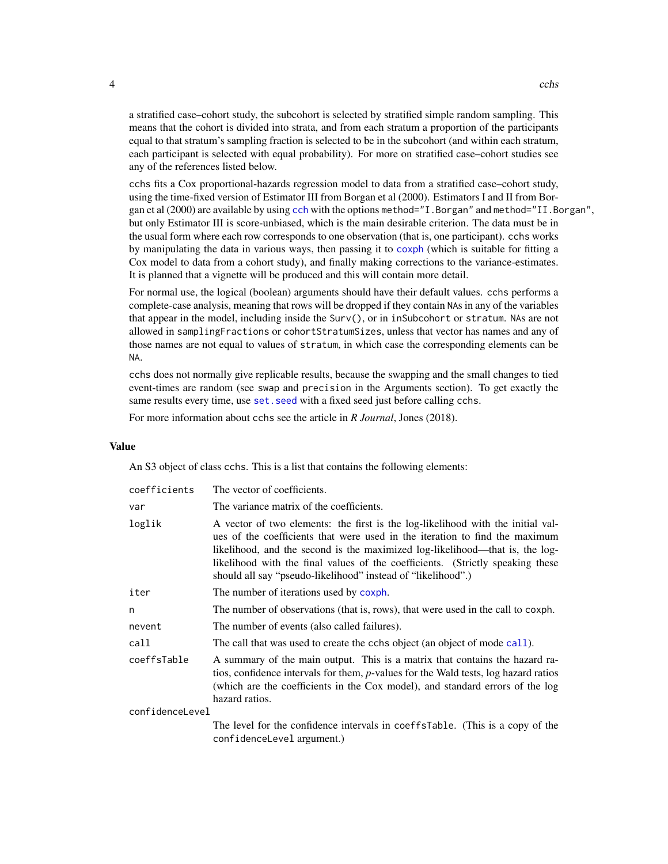<span id="page-3-0"></span>a stratified case–cohort study, the subcohort is selected by stratified simple random sampling. This means that the cohort is divided into strata, and from each stratum a proportion of the participants equal to that stratum's sampling fraction is selected to be in the subcohort (and within each stratum, each participant is selected with equal probability). For more on stratified case–cohort studies see any of the references listed below.

cchs fits a Cox proportional-hazards regression model to data from a stratified case–cohort study, using the time-fixed version of Estimator III from Borgan et al (2000). Estimators I and II from Borgan et al (2000) are available by using [cch](#page-0-0) with the options method="I.Borgan" and method="II.Borgan", but only Estimator III is score-unbiased, which is the main desirable criterion. The data must be in the usual form where each row corresponds to one observation (that is, one participant). cchs works by manipulating the data in various ways, then passing it to [coxph](#page-0-0) (which is suitable for fitting a Cox model to data from a cohort study), and finally making corrections to the variance-estimates. It is planned that a vignette will be produced and this will contain more detail.

For normal use, the logical (boolean) arguments should have their default values. cchs performs a complete-case analysis, meaning that rows will be dropped if they contain NAs in any of the variables that appear in the model, including inside the Surv(), or in inSubcohort or stratum. NAs are not allowed in samplingFractions or cohortStratumSizes, unless that vector has names and any of those names are not equal to values of stratum, in which case the corresponding elements can be NA.

cchs does not normally give replicable results, because the swapping and the small changes to tied event-times are random (see swap and precision in the Arguments section). To get exactly the same results every time, use set. seed with a fixed seed just before calling cchs.

For more information about cchs see the article in *R Journal*, Jones (2018).

#### Value

An S3 object of class cchs. This is a list that contains the following elements:

| coefficients    | The vector of coefficients.                                                                                                                                                                                                                                                                                                                                                                      |
|-----------------|--------------------------------------------------------------------------------------------------------------------------------------------------------------------------------------------------------------------------------------------------------------------------------------------------------------------------------------------------------------------------------------------------|
| var             | The variance matrix of the coefficients.                                                                                                                                                                                                                                                                                                                                                         |
| loglik          | A vector of two elements: the first is the log-likelihood with the initial val-<br>ues of the coefficients that were used in the iteration to find the maximum<br>likelihood, and the second is the maximized log-likelihood—that is, the log-<br>likelihood with the final values of the coefficients. (Strictly speaking these<br>should all say "pseudo-likelihood" instead of "likelihood".) |
| iter            | The number of iterations used by coxph.                                                                                                                                                                                                                                                                                                                                                          |
| n               | The number of observations (that is, rows), that were used in the call to coxph.                                                                                                                                                                                                                                                                                                                 |
| nevent          | The number of events (also called failures).                                                                                                                                                                                                                                                                                                                                                     |
| call            | The call that was used to create the cchs object (an object of mode call).                                                                                                                                                                                                                                                                                                                       |
| coeffsTable     | A summary of the main output. This is a matrix that contains the hazard ra-<br>tios, confidence intervals for them, p-values for the Wald tests, log hazard ratios<br>(which are the coefficients in the Cox model), and standard errors of the log<br>hazard ratios.                                                                                                                            |
| confidenceLevel |                                                                                                                                                                                                                                                                                                                                                                                                  |
|                 | The level for the confidence intervals in coeffsTable. (This is a copy of the<br>confidenceLevel argument.)                                                                                                                                                                                                                                                                                      |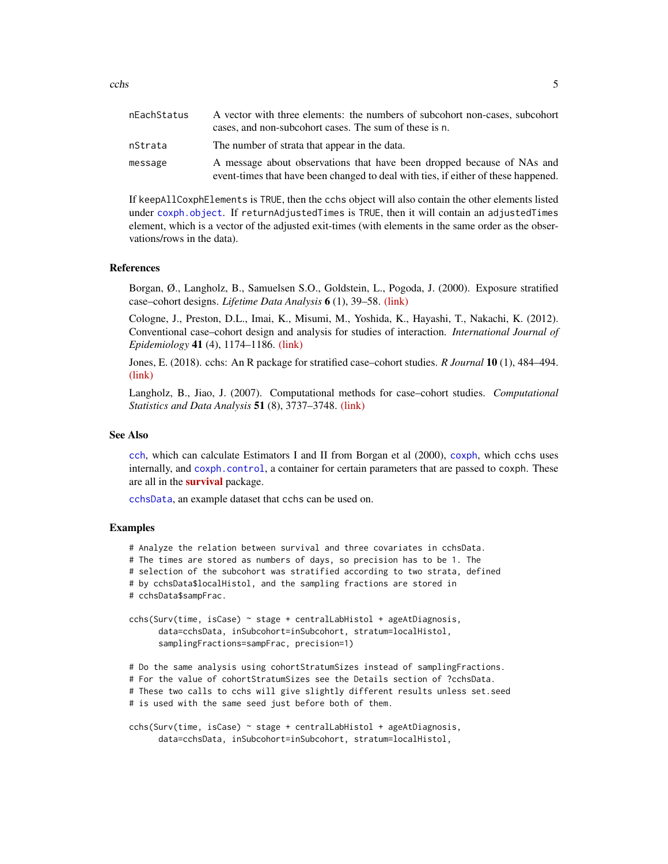<span id="page-4-0"></span>

| nEachStatus | A vector with three elements: the numbers of subcohort non-cases, subcohort<br>cases, and non-subcohort cases. The sum of these is n.                        |
|-------------|--------------------------------------------------------------------------------------------------------------------------------------------------------------|
| nStrata     | The number of strata that appear in the data.                                                                                                                |
| message     | A message about observations that have been dropped because of NAs and<br>event-times that have been changed to deal with ties, if either of these happened. |

If keepAllCoxphElements is TRUE, then the cchs object will also contain the other elements listed under [coxph.object](#page-0-0). If returnAdjustedTimes is TRUE, then it will contain an adjustedTimes element, which is a vector of the adjusted exit-times (with elements in the same order as the observations/rows in the data).

#### References

Borgan, Ø., Langholz, B., Samuelsen S.O., Goldstein, L., Pogoda, J. (2000). Exposure stratified case–cohort designs. *Lifetime Data Analysis* 6 (1), 39–58. [\(link\)](https://doi.org/10.1023/A:1009661900674)

Cologne, J., Preston, D.L., Imai, K., Misumi, M., Yoshida, K., Hayashi, T., Nakachi, K. (2012). Conventional case–cohort design and analysis for studies of interaction. *International Journal of Epidemiology* 41 (4), 1174–1186. [\(link\)](https://doi.org/10.1093/ije/dys102)

Jones, E. (2018). cchs: An R package for stratified case–cohort studies. *R Journal* 10 (1), 484–494. [\(link\)](https://doi.org/10.32614/RJ-2018-012)

Langholz, B., Jiao, J. (2007). Computational methods for case–cohort studies. *Computational Statistics and Data Analysis* 51 (8), 3737–3748. [\(link\)](https://doi.org/10.1016/j.csda.2006.12.028)

#### See Also

[cch](#page-0-0), which can calculate Estimators I and II from Borgan et al (2000), [coxph](#page-0-0), which cchs uses internally, and [coxph.control](#page-0-0), a container for certain parameters that are passed to coxph. These are all in the **[survival](https://cran.r-project.org/package=survival)** package.

[cchsData](#page-5-1), an example dataset that cchs can be used on.

#### Examples

# Analyze the relation between survival and three covariates in cchsData.

# The times are stored as numbers of days, so precision has to be 1. The

# selection of the subcohort was stratified according to two strata, defined

# by cchsData\$localHistol, and the sampling fractions are stored in

```
# cchsData$sampFrac.
```

```
cchs(Surv(time, isCase) ~ stage + centralLabHistol + ageAtDiagnosis,
      data=cchsData, inSubcohort=inSubcohort, stratum=localHistol,
      samplingFractions=sampFrac, precision=1)
```
# Do the same analysis using cohortStratumSizes instead of samplingFractions.

# For the value of cohortStratumSizes see the Details section of ?cchsData.

# These two calls to cchs will give slightly different results unless set.seed

```
# is used with the same seed just before both of them.
```

```
cchs(Surv(time, isCase) ~ stage + centralLabHistol + ageAtDiagnosis,
      data=cchsData, inSubcohort=inSubcohort, stratum=localHistol,
```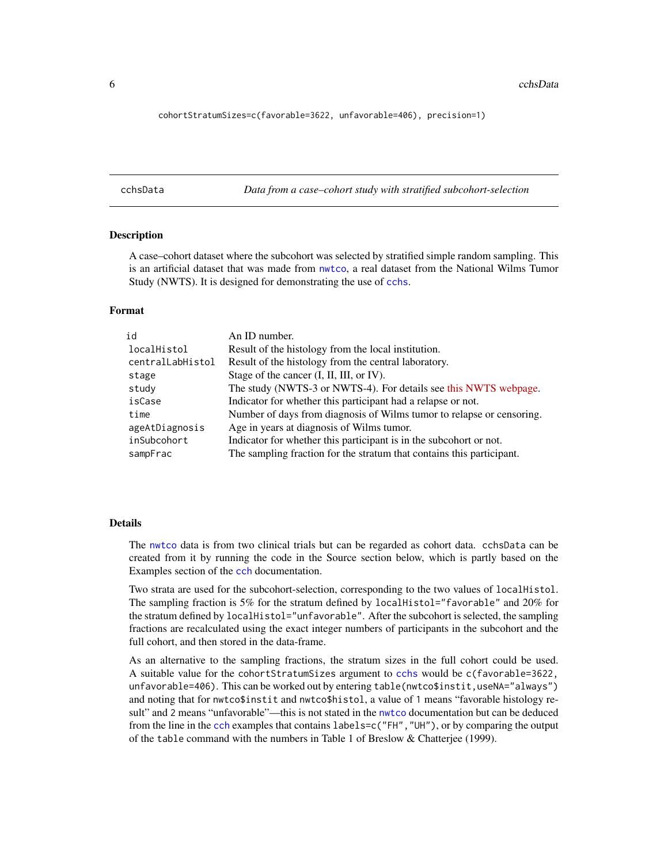<span id="page-5-0"></span>cohortStratumSizes=c(favorable=3622, unfavorable=406), precision=1)

<span id="page-5-1"></span>cchsData *Data from a case–cohort study with stratified subcohort-selection*

#### **Description**

A case–cohort dataset where the subcohort was selected by stratified simple random sampling. This is an artificial dataset that was made from [nwtco](#page-0-0), a real dataset from the National Wilms Tumor Study (NWTS). It is designed for demonstrating the use of [cchs](#page-1-1).

#### Format

| id               | An ID number.                                                         |
|------------------|-----------------------------------------------------------------------|
| localHistol      | Result of the histology from the local institution.                   |
| centralLabHistol | Result of the histology from the central laboratory.                  |
| stage            | Stage of the cancer (I, II, III, or IV).                              |
| study            | The study (NWTS-3 or NWTS-4). For details see this NWTS webpage.      |
| isCase           | Indicator for whether this participant had a relapse or not.          |
| time             | Number of days from diagnosis of Wilms tumor to relapse or censoring. |
| ageAtDiagnosis   | Age in years at diagnosis of Wilms tumor.                             |
| inSubcohort      | Indicator for whether this participant is in the subcohort or not.    |
| sampFrac         | The sampling fraction for the stratum that contains this participant. |

#### Details

The [nwtco](#page-0-0) data is from two clinical trials but can be regarded as cohort data. cchsData can be created from it by running the code in the Source section below, which is partly based on the Examples section of the [cch](#page-0-0) documentation.

Two strata are used for the subcohort-selection, corresponding to the two values of localHistol. The sampling fraction is 5% for the stratum defined by localHistol="favorable" and 20% for the stratum defined by localHistol="unfavorable". After the subcohort is selected, the sampling fractions are recalculated using the exact integer numbers of participants in the subcohort and the full cohort, and then stored in the data-frame.

As an alternative to the sampling fractions, the stratum sizes in the full cohort could be used. A suitable value for the cohortStratumSizes argument to [cchs](#page-1-1) would be c(favorable=3622, unfavorable=406). This can be worked out by entering table(nwtco\$instit,useNA="always") and noting that for nwtco\$instit and nwtco\$histol, a value of 1 means "favorable histology result" and 2 means "unfavorable"—this is not stated in the [nwtco](#page-0-0) documentation but can be deduced from the line in the [cch](#page-0-0) examples that contains labels=c("FH", "UH"), or by comparing the output of the table command with the numbers in Table 1 of Breslow & Chatterjee (1999).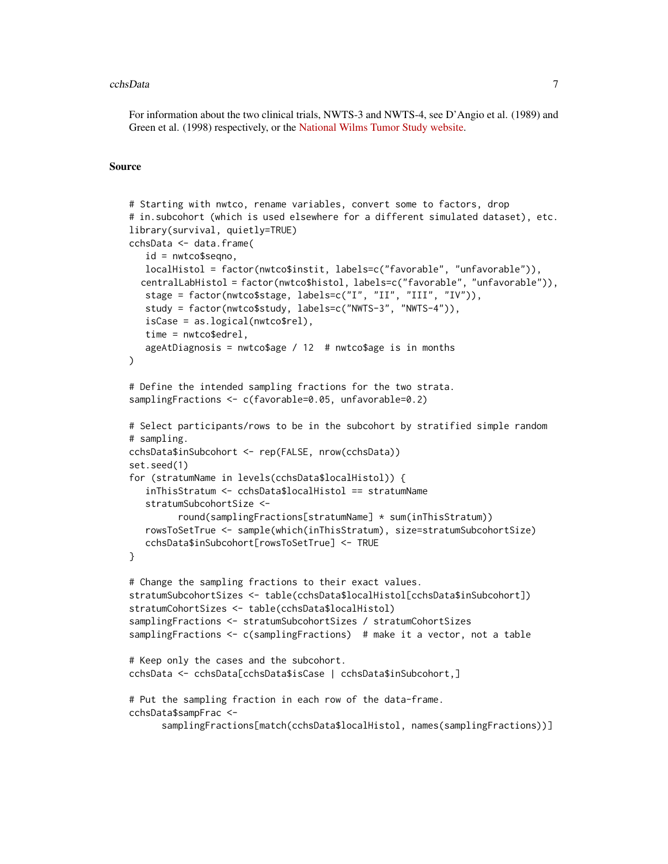#### cchsData 7 and 2012 12:30 and 2012 12:30 and 2012 12:30 and 2012 12:30 and 2012 12:30 and 2013 12:30 and 2013 1

For information about the two clinical trials, NWTS-3 and NWTS-4, see D'Angio et al. (1989) and Green et al. (1998) respectively, or the [National Wilms Tumor Study website.](http://www.nwtsg.org/)

#### Source

```
# Starting with nwtco, rename variables, convert some to factors, drop
# in.subcohort (which is used elsewhere for a different simulated dataset), etc.
library(survival, quietly=TRUE)
cchsData <- data.frame(
   id = nwtco$seqno,
   localHistol = factor(nwtco$instit, labels=c("favorable", "unfavorable")),
  centralLabHistol = factor(nwtco$histol, labels=c("favorable", "unfavorable")),
   stage = factor(nwtco$stage, labels=c("I", "II", "III", "IV")),
   study = factor(nwtco$study, labels=c("NWTS-3", "NWTS-4")),
   isCase = as.logical(nwtco$rel),
   time = nwtco$edrel,
   ageAtDiagnosis = nwtco$age / 12 # nwtco$age is in months
)
# Define the intended sampling fractions for the two strata.
samplingFractions <- c(favorable=0.05, unfavorable=0.2)
# Select participants/rows to be in the subcohort by stratified simple random
# sampling.
cchsData$inSubcohort <- rep(FALSE, nrow(cchsData))
set.seed(1)
for (stratumName in levels(cchsData$localHistol)) {
   inThisStratum <- cchsData$localHistol == stratumName
   stratumSubcohortSize <-
         round(samplingFractions[stratumName] * sum(inThisStratum))
   rowsToSetTrue <- sample(which(inThisStratum), size=stratumSubcohortSize)
   cchsData$inSubcohort[rowsToSetTrue] <- TRUE
}
# Change the sampling fractions to their exact values.
stratumSubcohortSizes <- table(cchsData$localHistol[cchsData$inSubcohort])
stratumCohortSizes <- table(cchsData$localHistol)
samplingFractions <- stratumSubcohortSizes / stratumCohortSizes
samplingFractions <- c(samplingFractions) # make it a vector, not a table
# Keep only the cases and the subcohort.
cchsData <- cchsData[cchsData$isCase | cchsData$inSubcohort,]
# Put the sampling fraction in each row of the data-frame.
cchsData$sampFrac <-
      samplingFractions[match(cchsData$localHistol, names(samplingFractions))]
```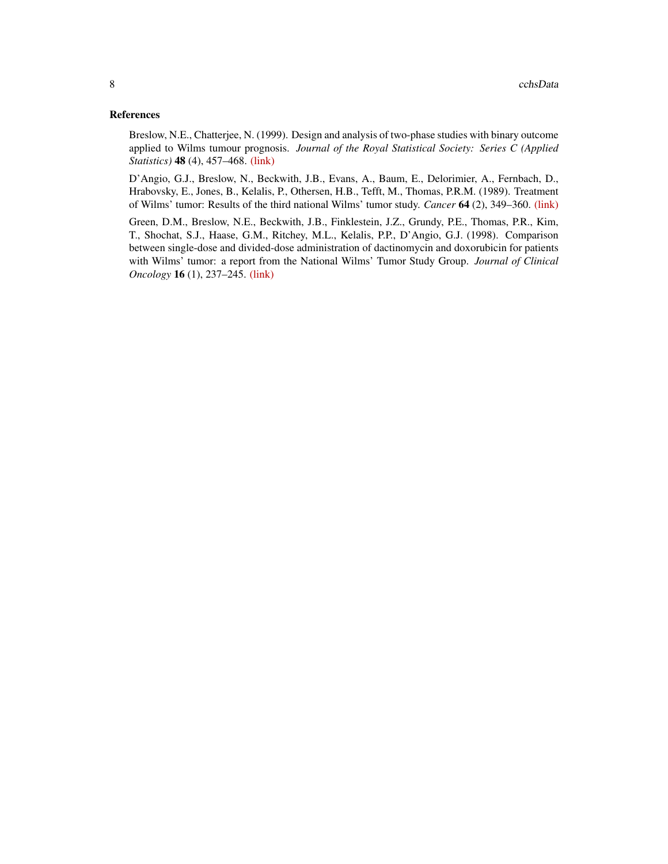#### References

Breslow, N.E., Chatterjee, N. (1999). Design and analysis of two-phase studies with binary outcome applied to Wilms tumour prognosis. *Journal of the Royal Statistical Society: Series C (Applied Statistics)* 48 (4), 457–468. [\(link\)](https://doi.org/10.1111/1467-9876.00165)

D'Angio, G.J., Breslow, N., Beckwith, J.B., Evans, A., Baum, E., Delorimier, A., Fernbach, D., Hrabovsky, E., Jones, B., Kelalis, P., Othersen, H.B., Tefft, M., Thomas, P.R.M. (1989). Treatment of Wilms' tumor: Results of the third national Wilms' tumor study. *Cancer* 64 (2), 349–360. [\(link\)](https://doi.org/10.1002/1097-0142(19890715)64:2%3C349::AID-CNCR2820640202%3E3.0.CO;2-Q)

Green, D.M., Breslow, N.E., Beckwith, J.B., Finklestein, J.Z., Grundy, P.E., Thomas, P.R., Kim, T., Shochat, S.J., Haase, G.M., Ritchey, M.L., Kelalis, P.P., D'Angio, G.J. (1998). Comparison between single-dose and divided-dose administration of dactinomycin and doxorubicin for patients with Wilms' tumor: a report from the National Wilms' Tumor Study Group. *Journal of Clinical Oncology* 16 (1), 237–245. [\(link\)](https://doi.org/10.1200/JCO.1998.16.1.237)